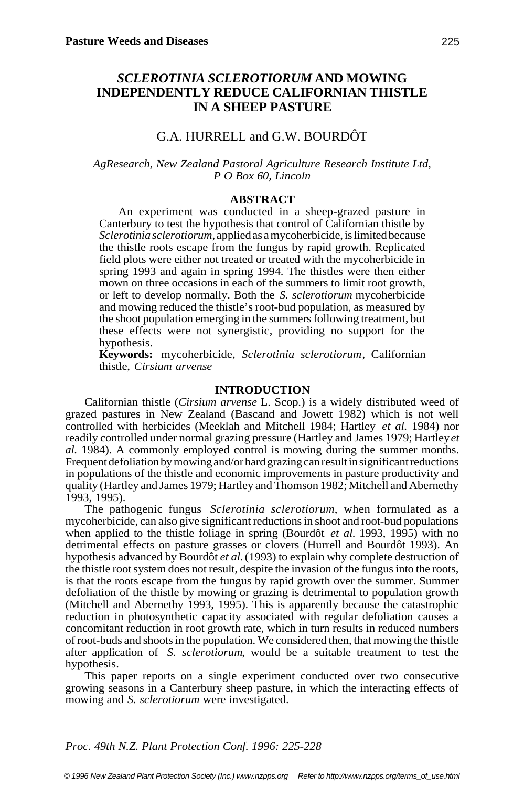# *SCLEROTINIA SCLEROTIORUM* **AND MOWING INDEPENDENTLY REDUCE CALIFORNIAN THISTLE IN A SHEEP PASTURE**

## G.A. HURRELL and G.W. BOURDÔT

### *AgResearch, New Zealand Pastoral Agriculture Research Institute Ltd, P O Box 60, Lincoln*

## **ABSTRACT**

An experiment was conducted in a sheep-grazed pasture in Canterbury to test the hypothesis that control of Californian thistle by *Sclerotinia sclerotiorum*, applied as a mycoherbicide, is limited because the thistle roots escape from the fungus by rapid growth. Replicated field plots were either not treated or treated with the mycoherbicide in spring 1993 and again in spring 1994. The thistles were then either mown on three occasions in each of the summers to limit root growth, or left to develop normally. Both the *S. sclerotiorum* mycoherbicide and mowing reduced the thistle's root-bud population, as measured by the shoot population emerging in the summers following treatment, but these effects were not synergistic, providing no support for the hypothesis.

**Keywords:** mycoherbicide, *Sclerotinia sclerotiorum*, Californian thistle, *Cirsium arvense*

#### **INTRODUCTION**

Californian thistle (*Cirsium arvense* L. Scop.) is a widely distributed weed of grazed pastures in New Zealand (Bascand and Jowett 1982) which is not well controlled with herbicides (Meeklah and Mitchell 1984; Hartley *et al.* 1984) nor readily controlled under normal grazing pressure (Hartley and James 1979; Hartley *et al.* 1984). A commonly employed control is mowing during the summer months. Frequent defoliation by mowing and/or hard grazing can result in significant reductions in populations of the thistle and economic improvements in pasture productivity and quality (Hartley and James 1979; Hartley and Thomson 1982; Mitchell and Abernethy 1993, 1995).

The pathogenic fungus *Sclerotinia sclerotiorum*, when formulated as a mycoherbicide, can also give significant reductions in shoot and root-bud populations when applied to the thistle foliage in spring (Bourdôt *et al.* 1993, 1995) with no detrimental effects on pasture grasses or clovers (Hurrell and Bourdôt 1993). An hypothesis advanced by Bourdôt *et al.* (1993) to explain why complete destruction of the thistle root system does not result, despite the invasion of the fungus into the roots, is that the roots escape from the fungus by rapid growth over the summer. Summer defoliation of the thistle by mowing or grazing is detrimental to population growth (Mitchell and Abernethy 1993, 1995). This is apparently because the catastrophic reduction in photosynthetic capacity associated with regular defoliation causes a concomitant reduction in root growth rate, which in turn results in reduced numbers of root-buds and shoots in the population. We considered then, that mowing the thistle after application of *S. sclerotiorum*, would be a suitable treatment to test the hypothesis.

This paper reports on a single experiment conducted over two consecutive growing seasons in a Canterbury sheep pasture, in which the interacting effects of mowing and *S. sclerotiorum* were investigated.

#### *Proc. 49th N.Z. Plant Protection Conf. 1996: 225-228*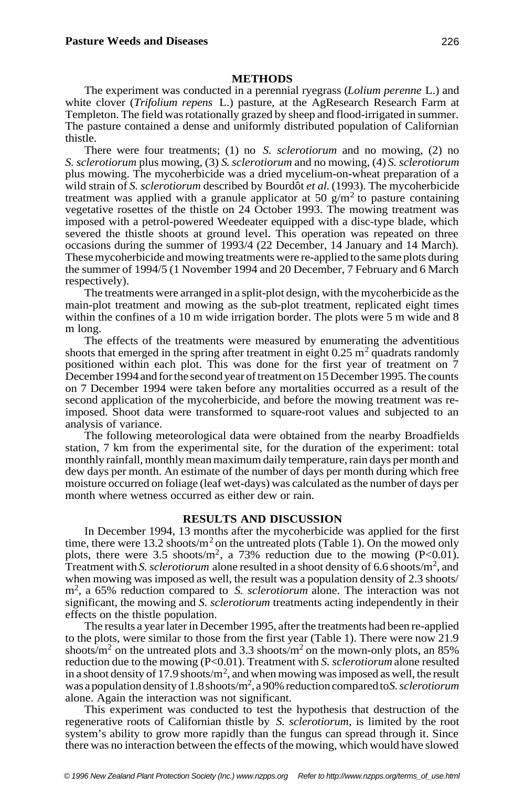#### **METHODS**

The experiment was conducted in a perennial ryegrass (*Lolium perenne* L.) and white clover (*Trifolium repens* L.) pasture, at the AgResearch Research Farm at Templeton. The field was rotationally grazed by sheep and flood-irrigated in summer. The pasture contained a dense and uniformly distributed population of Californian thistle.

There were four treatments; (1) no *S. sclerotiorum* and no mowing, (2) no *S. sclerotiorum* plus mowing, (3) *S*. *sclerotiorum* and no mowing, (4) *S. sclerotiorum* plus mowing. The mycoherbicide was a dried mycelium-on-wheat preparation of a wild strain of *S. sclerotiorum* described by Bourdôt *et al.* (1993). The mycoherbicide treatment was applied with a granule applicator at 50 g/m<sup>2</sup> to pasture containing vegetative rosettes of the thistle on 24 October 1993. The mowing treatment was imposed with a petrol-powered Weedeater equipped with a disc-type blade, which severed the thistle shoots at ground level. This operation was repeated on three occasions during the summer of 1993/4 (22 December, 14 January and 14 March). These mycoherbicide and mowing treatments were re-applied to the same plots during the summer of 1994/5 (1 November 1994 and 20 December, 7 February and 6 March respectively).

The treatments were arranged in a split-plot design, with the mycoherbicide as the main-plot treatment and mowing as the sub-plot treatment, replicated eight times within the confines of a 10 m wide irrigation border. The plots were 5 m wide and 8 m long.

The effects of the treatments were measured by enumerating the adventitious shoots that emerged in the spring after treatment in eight  $0.25 \text{ m}^2$  quadrats randomly positioned within each plot. This was done for the first year of treatment on 7 December 1994 and for the second year of treatment on 15 December 1995. The counts on 7 December 1994 were taken before any mortalities occurred as a result of the second application of the mycoherbicide, and before the mowing treatment was reimposed. Shoot data were transformed to square-root values and subjected to an analysis of variance.

The following meteorological data were obtained from the nearby Broadfields station, 7 km from the experimental site, for the duration of the experiment: total monthly rainfall, monthly mean maximum daily temperature, rain days per month and dew days per month. An estimate of the number of days per month during which free moisture occurred on foliage (leaf wet-days) was calculated as the number of days per month where wetness occurred as either dew or rain.

#### **RESULTS AND DISCUSSION**

In December 1994, 13 months after the mycoherbicide was applied for the first time, there were 13.2 shoots/ $m<sup>2</sup>$  on the untreated plots (Table 1). On the mowed only plots, there were 3.5 shoots/m<sup>2</sup>, a 73% reduction due to the mowing (P<0.01). Treatment with *S. sclerotiorum* alone resulted in a shoot density of 6.6 shoots/m<sup>2</sup>, and when mowing was imposed as well, the result was a population density of 2.3 shoots/ m<sup>2</sup> , a 65% reduction compared to *S. sclerotiorum* alone. The interaction was not significant, the mowing and *S. sclerotiorum* treatments acting independently in their effects on the thistle population.

The results a year later in December 1995, after the treatments had been re-applied to the plots, were similar to those from the first year (Table 1). There were now 21.9 shoots/ $m<sup>2</sup>$  on the untreated plots and 3.3 shoots/ $m<sup>2</sup>$  on the mown-only plots, an 85% reduction due to the mowing (P<0.01). Treatment with *S. sclerotiorum* alone resulted in a shoot density of 17.9 shoots/ $m^2$ , and when mowing was imposed as well, the result was a population density of 1.8 shoots/m<sup>2</sup>, a 90% reduction compared to *S. sclerotiorum* alone. Again the interaction was not significant.

This experiment was conducted to test the hypothesis that destruction of the regenerative roots of Californian thistle by *S. sclerotiorum*, is limited by the root system's ability to grow more rapidly than the fungus can spread through it. Since there was no interaction between the effects of the mowing, which would have slowed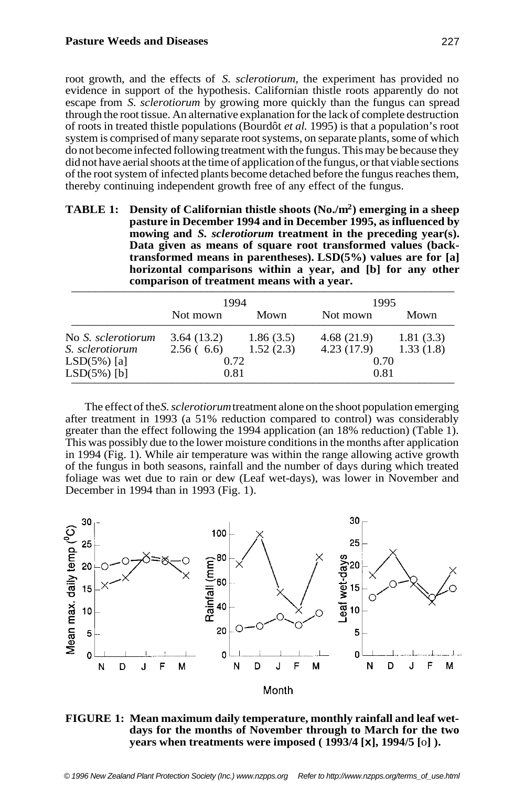#### **Pasture Weeds and Diseases**

root growth, and the effects of *S. sclerotiorum*, the experiment has provided no evidence in support of the hypothesis. Californian thistle roots apparently do not escape from *S. sclerotiorum* by growing more quickly than the fungus can spread through the root tissue. An alternative explanation for the lack of complete destruction of roots in treated thistle populations (Bourdôt *et al.* 1995) is that a population's root system is comprised of many separate root systems, on separate plants, some of which do not become infected following treatment with the fungus. This may be because they did not have aerial shoots at the time of application of the fungus, or that viable sections of the root system of infected plants become detached before the fungus reaches them, thereby continuing independent growth free of any effect of the fungus.

| <b>TABLE 1:</b> Density of Californian thistle shoots $(No,m^2)$ emerging in a sheep<br>pasture in December 1994 and in December 1995, as influenced by<br>mowing and S. sclerotiorum treatment in the preceding year(s).<br>Data given as means of square root transformed values (back-<br>transformed means in parentheses). $LSD(5\%)$ values are for [a]<br>horizontal comparisons within a year, and [b] for any other |
|------------------------------------------------------------------------------------------------------------------------------------------------------------------------------------------------------------------------------------------------------------------------------------------------------------------------------------------------------------------------------------------------------------------------------|
| comparison of treatment means with a year.                                                                                                                                                                                                                                                                                                                                                                                   |

|                    | 1994       |           | 1995       |           |
|--------------------|------------|-----------|------------|-----------|
|                    | Not mown   | Mown      | Not mown   | Mown      |
| No S. sclerotiorum | 3.64(13.2) | 1.86(3.5) | 4.68(21.9) | 1.81(3.3) |
| S. sclerotiorum    | 2.56(6.6)  | 1.52(2.3) | 4.23(17.9) | 1.33(1.8) |
| $LSD(5\%)$ [a]     | 0.72       |           | 0.70       |           |
| $LSD(5%)$ [b]      | 0.81       |           | 0.81       |           |

The effect of the *S. sclerotiorum* treatment alone on the shoot population emerging after treatment in 1993 (a 51% reduction compared to control) was considerably greater than the effect following the 1994 application (an 18% reduction) (Table 1). This was possibly due to the lower moisture conditions in the months after application in 1994 (Fig. 1). While air temperature was within the range allowing active growth of the fungus in both seasons, rainfall and the number of days during which treated foliage was wet due to rain or dew (Leaf wet-days), was lower in November and December in 1994 than in 1993 (Fig. 1).



**FIGURE 1: Mean maximum daily temperature, monthly rainfall and leaf wetdays for the months of November through to March for the two years when treatments were imposed ( 1993/4 [x], 1994/5 [**o**] ).**